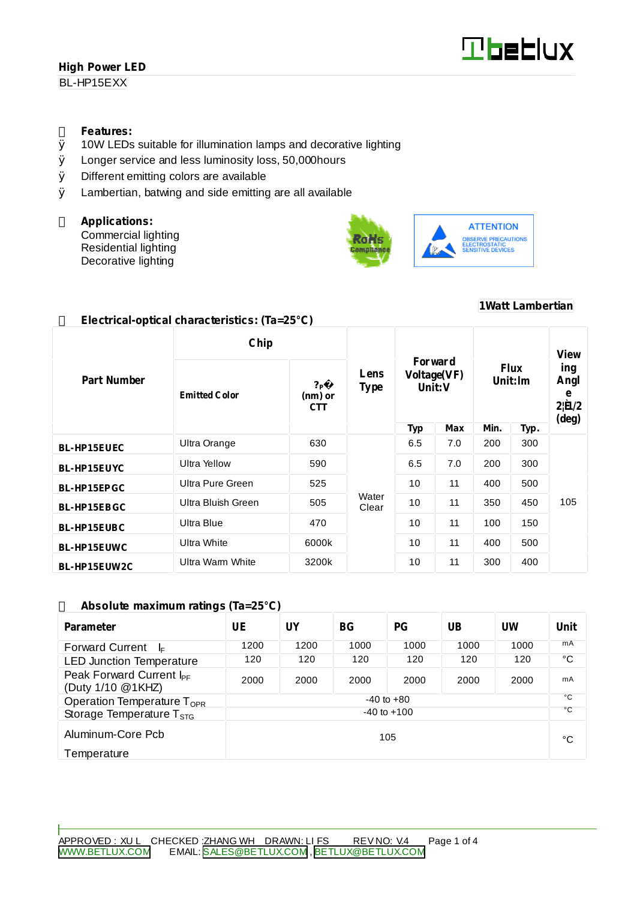BL-HP15EXX

#### **Features:**

- Ø 10W LEDs suitable for illumination lamps and decorative lighting
- Ø Longer service and less luminosity loss, 50,000hours
- Ø Different emitting colors are available
- Ø Lambertian, batwing and side emitting are all available

**Electrical-optical characteristics: (Ta=25°C)**

#### **Applications:**

Commercial lighting Residential lighting Decorative lighting



## **1Watt Lambertian**

|                    | Chip                 |                                         |                     |                                     |            |                        |      | View                                                    |
|--------------------|----------------------|-----------------------------------------|---------------------|-------------------------------------|------------|------------------------|------|---------------------------------------------------------|
| <b>Part Number</b> | <b>Emitted Color</b> | ? <sub>P</sub><br>(nm) or<br><b>CTT</b> | Lens<br><b>Type</b> | Forward<br>Voltage(VF)<br>Unit: $V$ |            | <b>Flux</b><br>Unit:lm |      | ing<br>Angl<br>e<br>$2 \mathbf{\hat{H}} /2$<br>$(\deg)$ |
|                    |                      |                                         |                     | <b>Typ</b>                          | <b>Max</b> | Min.                   | Typ. |                                                         |
| <b>BL-HP15EUEC</b> | Ultra Orange         | 630                                     | Water<br>Clear      | 6.5                                 | 7.0        | 200                    | 300  | 105                                                     |
| <b>BL-HP15EUYC</b> | <b>Ultra Yellow</b>  | 590                                     |                     | 6.5                                 | 7.0        | 200                    | 300  |                                                         |
| BL-HP15EPGC        | Ultra Pure Green     | 525                                     |                     | 10                                  | 11         | 400                    | 500  |                                                         |
| <b>BL-HP15EBGC</b> | Ultra Bluish Green   | 505                                     |                     | 10                                  | 11         | 350                    | 450  |                                                         |
| <b>BL-HP15EUBC</b> | Ultra Blue           | 470                                     |                     | 10                                  | 11         | 100                    | 150  |                                                         |
| <b>BL-HP15EUWC</b> | <b>Ultra White</b>   | 6000k                                   |                     | 10                                  | 11         | 400                    | 500  |                                                         |
| BL-HP15EUW2C       | Ultra Warm White     | 3200k                                   |                     | 10                                  | 11         | 300                    | 400  |                                                         |

#### **Absolute maximum ratings (Ta=25°C)**

| <b>Parameter</b>                                          | UE              | UY   | BG <sub>r</sub> | PG       | UB   | UW   | Unit |
|-----------------------------------------------------------|-----------------|------|-----------------|----------|------|------|------|
| <b>Forward Current</b><br>-l⊏                             | 1200            | 1200 | 1000            | 1000     | 1000 | 1000 | mA   |
| <b>LED Junction Temperature</b>                           | 120             | 120  | 120             | 120      | 120  | 120  | °C   |
| Peak Forward Current I <sub>PF</sub><br>(Duty 1/10 @1KHZ) | 2000            | 2000 | 2000            | 2000     | 2000 | 2000 | mA   |
| Operation Temperature $T_{\text{OPR}}$                    | $-40$ to $+80$  |      |                 | °C<br>°C |      |      |      |
| Storage Temperature $T_{STG}$                             | $-40$ to $+100$ |      |                 |          |      |      |      |
| Aluminum-Core Pcb<br>105                                  |                 |      |                 |          |      | °C   |      |
| Temperature                                               |                 |      |                 |          |      |      |      |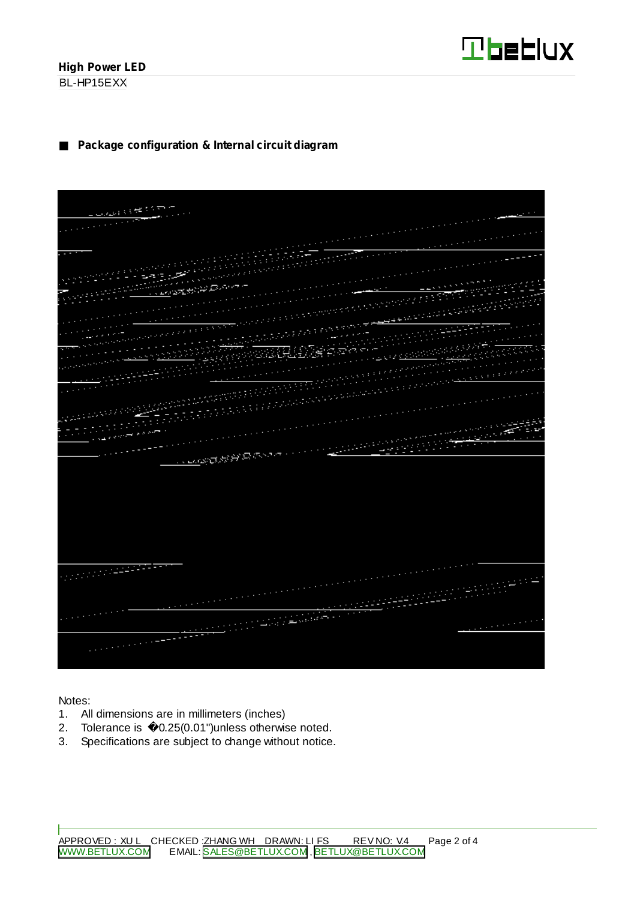

BL-HP15EXX

## **Package configuration & Internal circuit diagram**

| <b>COMMERCE COMME</b>    |  |
|--------------------------|--|
|                          |  |
|                          |  |
|                          |  |
|                          |  |
|                          |  |
|                          |  |
|                          |  |
|                          |  |
|                          |  |
|                          |  |
|                          |  |
|                          |  |
|                          |  |
|                          |  |
|                          |  |
|                          |  |
|                          |  |
|                          |  |
|                          |  |
|                          |  |
|                          |  |
|                          |  |
|                          |  |
|                          |  |
| <b>CONSTANTINO</b>       |  |
|                          |  |
|                          |  |
|                          |  |
|                          |  |
|                          |  |
|                          |  |
|                          |  |
|                          |  |
|                          |  |
|                          |  |
| <u> 1999 - Pa</u>        |  |
|                          |  |
|                          |  |
|                          |  |
| <b>District Property</b> |  |
|                          |  |
|                          |  |
|                          |  |
|                          |  |
|                          |  |
|                          |  |

Notes:

- 1. All dimensions are in millimeters (inches)
- 2. Tolerance is 0.25(0.01")unless otherwise noted.
- 3. Specifications are subject to change without notice.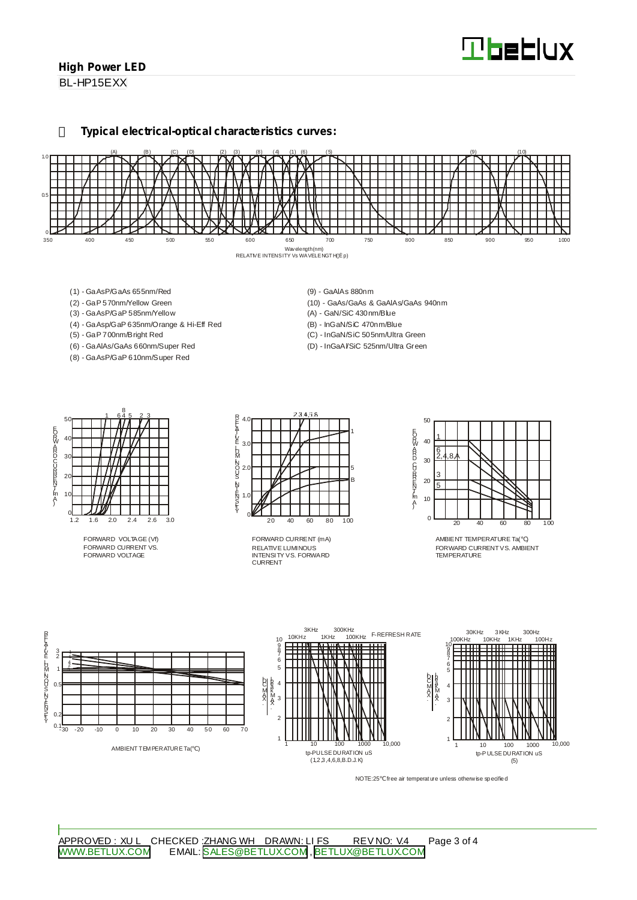BL-HP15EXX

#### **Typical electrical-optical characteristics curves:**



- (1) GaAsP/GaAs 655nm/Red
- (2) GaP 570nm/Yellow Green
- (3) GaAsP/GaP 585nm/Yellow
- (4) GaAsp/GaP 635nm/Orange & Hi-Eff Red
- (5) GaP 700nm/Bright Red
- (6) GaAlAs/GaAs 660nm/Super Red
- (8) GaAsP/GaP 610nm/Super Red
- (9) GaAlAs 880nm
- (10) GaAs/GaAs & GaAlAs/GaAs 940nm
- (A) GaN/SiC 430nm/Blue
- (B) InGaN/SiC 470nm/Blue
- (C) InGaN/SiC 505nm/Ultra Green
- (D) InGaAl/SiC 525nm/Ultra Green



FORWARD VOLTAGE (Vf) FORWARD CURRENT VS. FORWARD VOLTAGE



RELATIVE LUMINOUS INTENSITY VS. FORWARD CURRENT FORWARD CURRENT (mA)



AMBIENT TEMPERATURE Ta( ) FORWARD CURRENTVS. AMBIENT TEMPERATURE



NOTE:25 free air temperature unless otherwise specified